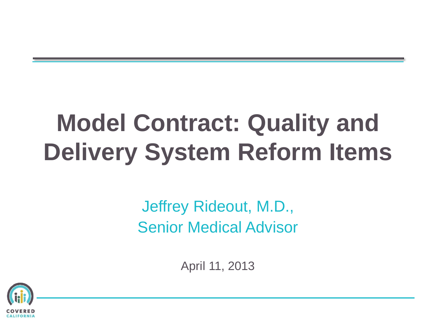# **Model Contract: Quality and Delivery System Reform Items**

Jeffrey Rideout, M.D., Senior Medical Advisor

April 11, 2013

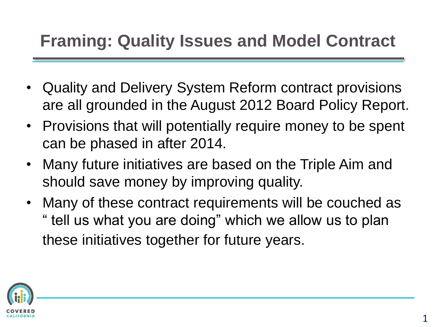### **Framing: Quality Issues and Model Contract**

- Quality and Delivery System Reform contract provisions are all grounded in the August 2012 Board Policy Report.
- Provisions that will potentially require money to be spent can be phased in after 2014.
- Many future initiatives are based on the Triple Aim and should save money by improving quality.
- Many of these contract requirements will be couched as " tell us what you are doing" which we allow us to plan these initiatives together for future years.

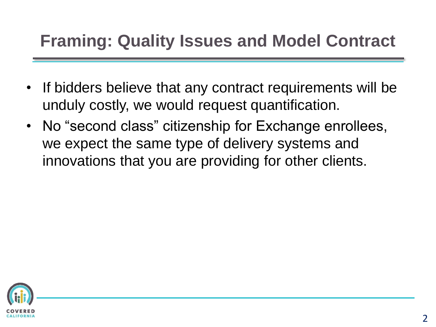### **Framing: Quality Issues and Model Contract**

- If bidders believe that any contract requirements will be unduly costly, we would request quantification.
- No "second class" citizenship for Exchange enrollees, we expect the same type of delivery systems and innovations that you are providing for other clients.

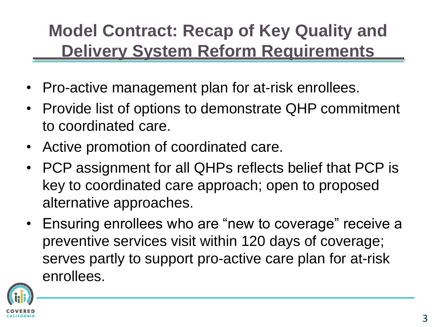# **Model Contract: Recap of Key Quality and Delivery System Reform Requirements**

- Pro-active management plan for at-risk enrollees.
- Provide list of options to demonstrate QHP commitment to coordinated care.
- Active promotion of coordinated care.
- PCP assignment for all QHPs reflects belief that PCP is key to coordinated care approach; open to proposed alternative approaches.
- Ensuring enrollees who are "new to coverage" receive a preventive services visit within 120 days of coverage; serves partly to support pro-active care plan for at-risk enrollees.

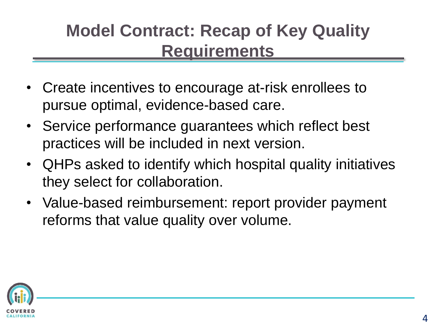# **Model Contract: Recap of Key Quality Requirements**

- Create incentives to encourage at-risk enrollees to pursue optimal, evidence-based care.
- Service performance guarantees which reflect best practices will be included in next version.
- QHPs asked to identify which hospital quality initiatives they select for collaboration.
- Value-based reimbursement: report provider payment reforms that value quality over volume.